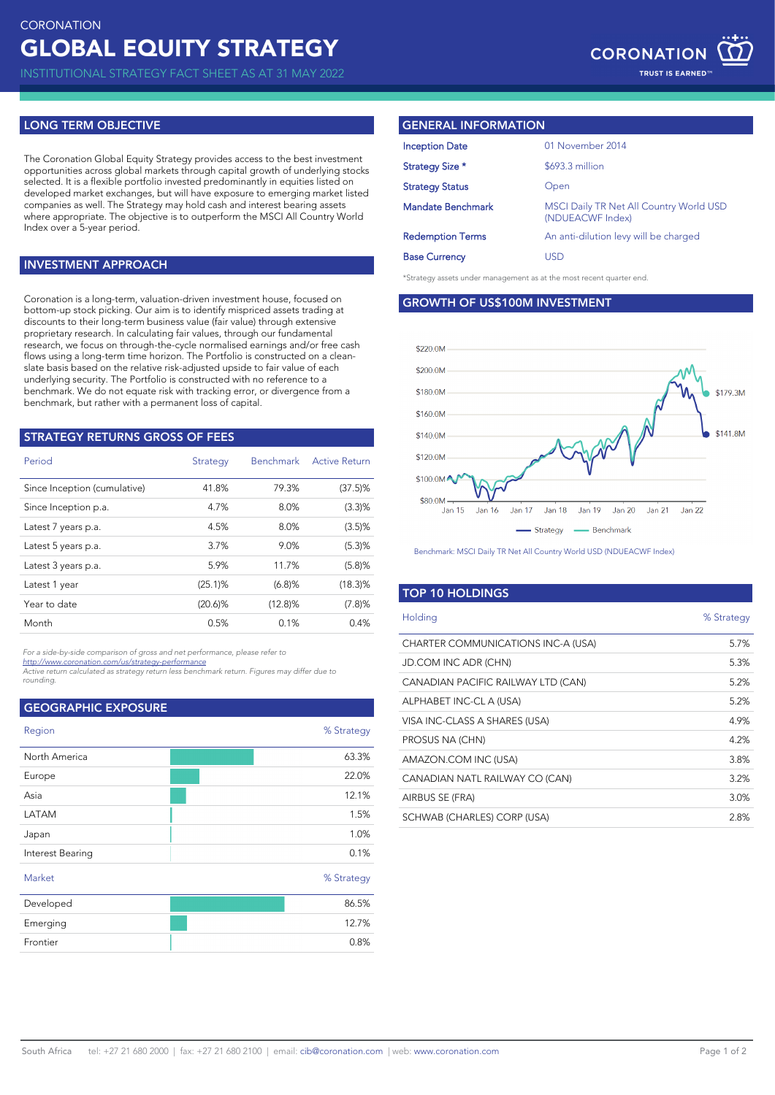INSTITUTIONAL STRATEGY FACT SHEET AS AT 31 MAY 2022

# **LONG TERM OBJECTIVE**

The Coronation Global Equity Strategy provides access to the best investment opportunities across global markets through capital growth of underlying stocks selected. It is a flexible portfolio invested predominantly in equities listed on developed market exchanges, but will have exposure to emerging market listed companies as well. The Strategy may hold cash and interest bearing assets where appropriate. The objective is to outperform the MSCI All Country World Index over a 5-year period.

### **INVESTMENT APPROACH**

Coronation is a long-term, valuation-driven investment house, focused on bottom-up stock picking. Our aim is to identify mispriced assets trading at discounts to their long-term business value (fair value) through extensive proprietary research. In calculating fair values, through our fundamental research, we focus on through-the-cycle normalised earnings and/or free cash flows using a long-term time horizon. The Portfolio is constructed on a cleanslate basis based on the relative risk-adjusted upside to fair value of each underlying security. The Portfolio is constructed with no reference to a benchmark. We do not equate risk with tracking error, or divergence from a benchmark, but rather with a permanent loss of capital.

| <b>STRATEGY RETURNS GROSS OF FEES</b> |            |                  |                      |  |  |  |
|---------------------------------------|------------|------------------|----------------------|--|--|--|
| Period                                | Strategy   | <b>Benchmark</b> | <b>Active Return</b> |  |  |  |
| Since Inception (cumulative)          | 41.8%      | 79.3%            | $(37.5)\%$           |  |  |  |
| Since Inception p.a.                  | 4.7%       | 8.0%             | (3.3)%               |  |  |  |
| Latest 7 years p.a.                   | 4.5%       | 8.0%             | (3.5)%               |  |  |  |
| Latest 5 years p.a.                   | 3.7%       | 9.0%             | (5.3)%               |  |  |  |
| Latest 3 years p.a.                   | 5.9%       | 11.7%            | (5.8)%               |  |  |  |
| Latest 1 year                         | (25.1)%    | (6.8)%           | $(18.3)\%$           |  |  |  |
| Year to date                          | $(20.6)\%$ | $(12.8)\%$       | (7.8)%               |  |  |  |
| Month                                 | 0.5%       | 0.1%             | 0.4%                 |  |  |  |
|                                       |            |                  |                      |  |  |  |

*For a side-by-side comparison of gross and net performance, please refer to* 

*<http://www.coronation.com/us/strategy-performance> Active return calculated as strategy return less benchmark return. Figures may differ due to rounding.*

| <b>GEOGRAPHIC EXPOSURE</b> |            |
|----------------------------|------------|
| Region                     | % Strategy |
| North America              | 63.3%      |
| Europe                     | 22.0%      |
| Asia                       | 12.1%      |
| LATAM                      | 1.5%       |
| Japan                      | 1.0%       |
| Interest Bearing           | 0.1%       |
| Market                     | % Strategy |
| Developed                  | 86.5%      |
| Emerging                   | 12.7%      |
| Frontier                   | 0.8%       |
|                            |            |

## **GENERAL INFORMATION**

| 01 November 2014                                                   |  |
|--------------------------------------------------------------------|--|
| \$693.3 million                                                    |  |
| Open                                                               |  |
| <b>MSCI Daily TR Net All Country World USD</b><br>(NDUEACWF Index) |  |
| An anti-dilution levy will be charged                              |  |
| USD                                                                |  |
|                                                                    |  |

\*Strategy assets under management as at the most recent quarter end.

**GROWTH OF US\$100M INVESTMENT**



Benchmark: MSCI Daily TR Net All Country World USD (NDUEACWF Index)

### **TOP 10 HOLDINGS**

| Holding                            | % Strategy |
|------------------------------------|------------|
| CHARTER COMMUNICATIONS INC-A (USA) | 5.7%       |
| JD.COM INC ADR (CHN)               | 5.3%       |
| CANADIAN PACIFIC RAILWAY LTD (CAN) | 5.2%       |
| ALPHABET INC-CL A (USA)            | 5.2%       |
| VISA INC-CLASS A SHARES (USA)      | 4.9%       |
| PROSUS NA (CHN)                    | 4.2%       |
| AMAZON.COM INC (USA)               | 3.8%       |
| CANADIAN NATL RAILWAY CO (CAN)     | 3.2%       |
| AIRBUS SE (FRA)                    | 3.0%       |
| SCHWAB (CHARLES) CORP (USA)        | 2.8%       |